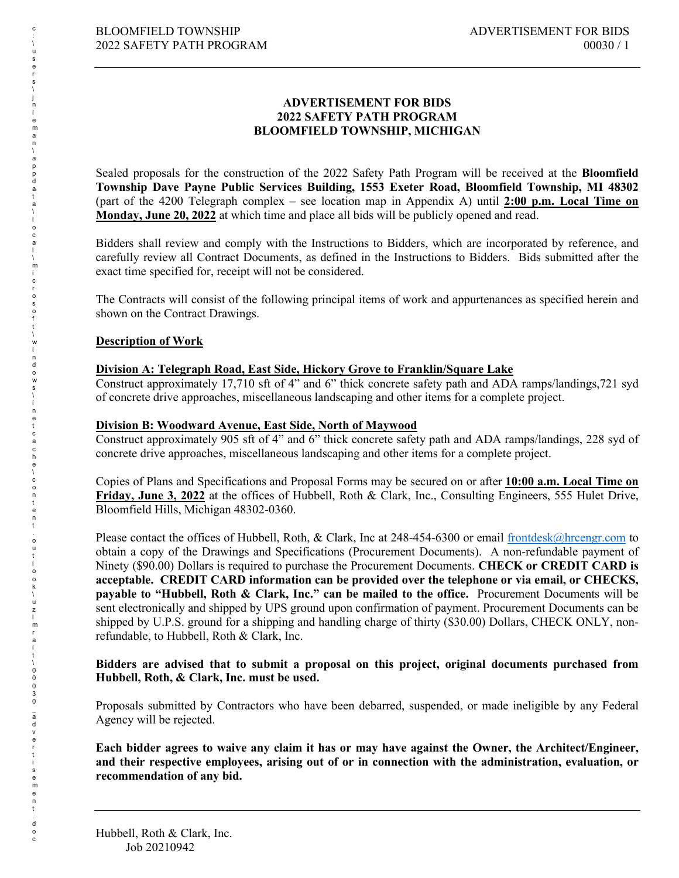#### **ADVERTISEMENT FOR BIDS 2022 SAFETY PATH PROGRAM BLOOMFIELD TOWNSHIP, MICHIGAN**

Sealed proposals for the construction of the 2022 Safety Path Program will be received at the **Bloomfield Township Dave Payne Public Services Building, 1553 Exeter Road, Bloomfield Township, MI 48302**  (part of the 4200 Telegraph complex – see location map in Appendix A) until **2:00 p.m. Local Time on Monday, June 20, 2022** at which time and place all bids will be publicly opened and read.

Bidders shall review and comply with the Instructions to Bidders, which are incorporated by reference, and carefully review all Contract Documents, as defined in the Instructions to Bidders. Bids submitted after the exact time specified for, receipt will not be considered.

The Contracts will consist of the following principal items of work and appurtenances as specified herein and shown on the Contract Drawings.

# **Description of Work**

### **Division A: Telegraph Road, East Side, Hickory Grove to Franklin/Square Lake**

Construct approximately 17,710 sft of 4" and 6" thick concrete safety path and ADA ramps/landings,721 syd of concrete drive approaches, miscellaneous landscaping and other items for a complete project.

#### **Division B: Woodward Avenue, East Side, North of Maywood**

Construct approximately 905 sft of 4" and 6" thick concrete safety path and ADA ramps/landings, 228 syd of concrete drive approaches, miscellaneous landscaping and other items for a complete project.

Copies of Plans and Specifications and Proposal Forms may be secured on or after **10:00 a.m. Local Time on Friday, June 3, 2022** at the offices of Hubbell, Roth & Clark, Inc., Consulting Engineers, 555 Hulet Drive, Bloomfield Hills, Michigan 48302-0360.

Please contact the offices of Hubbell, Roth, & Clark, Inc at 248-454-6300 or email [frontdesk@hrcengr.com](mailto:frontdesk@hrcengr.com) to obtain a copy of the Drawings and Specifications (Procurement Documents). A non-refundable payment of Ninety (\$90.00) Dollars is required to purchase the Procurement Documents. **CHECK or CREDIT CARD is acceptable. CREDIT CARD information can be provided over the telephone or via email, or CHECKS, payable to "Hubbell, Roth & Clark, Inc." can be mailed to the office.** Procurement Documents will be sent electronically and shipped by UPS ground upon confirmation of payment. Procurement Documents can be shipped by U.P.S. ground for a shipping and handling charge of thirty (\$30.00) Dollars, CHECK ONLY, nonrefundable, to Hubbell, Roth & Clark, Inc.

#### **Bidders are advised that to submit a proposal on this project, original documents purchased from Hubbell, Roth, & Clark, Inc. must be used.**

Proposals submitted by Contractors who have been debarred, suspended, or made ineligible by any Federal Agency will be rejected.

**Each bidder agrees to waive any claim it has or may have against the Owner, the Architect/Engineer, and their respective employees, arising out of or in connection with the administration, evaluation, or recommendation of any bid.**